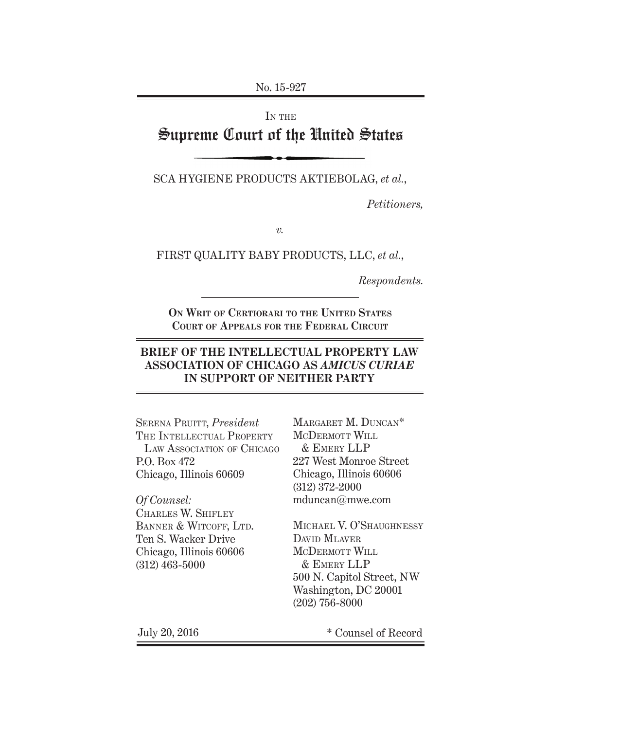No. 15-927

IN THE

# Supreme Court of the United States

SCA HYGIENE PRODUCTS AKTIEBOLAG, *et al.*,

*Petitioners,*

*v.*

FIRST QUALITY BABY PRODUCTS, LLC, *et al.*,

*Respondents.*

**On Writ of Certiorari to the United States Court of Appeals for the Federal Circuit**

# **BRIEF OF THE INTELLECTUAL PROPERTY LAW ASSOCIATION OF CHICAGO AS** *AMICUS CURIAE* **IN SUPPORT OF NEITHER PARTY**

Serena Pruitt, *President* THE INTELLECTUAL PROPERTY LAW ASSOCIATION OF CHICAGO P.O. Box 472 Chicago, Illinois 60609

*Of Counsel:* Charles W. Shifley BANNER & WITCOFF, LTD. Ten S. Wacker Drive Chicago, Illinois 60606 (312) 463-5000

Margaret M. Duncan\* MCDERMOTT WILL & Emery LLP 227 West Monroe Street Chicago, Illinois 60606 (312) 372-2000 mduncan@mwe.com

Michael V. O'Shaughnessy DAVID MLAVER MCDERMOTT WILL & Emery LLP 500 N. Capitol Street, NW Washington, DC 20001 (202) 756-8000

July 20, 2016 \* Counsel of Record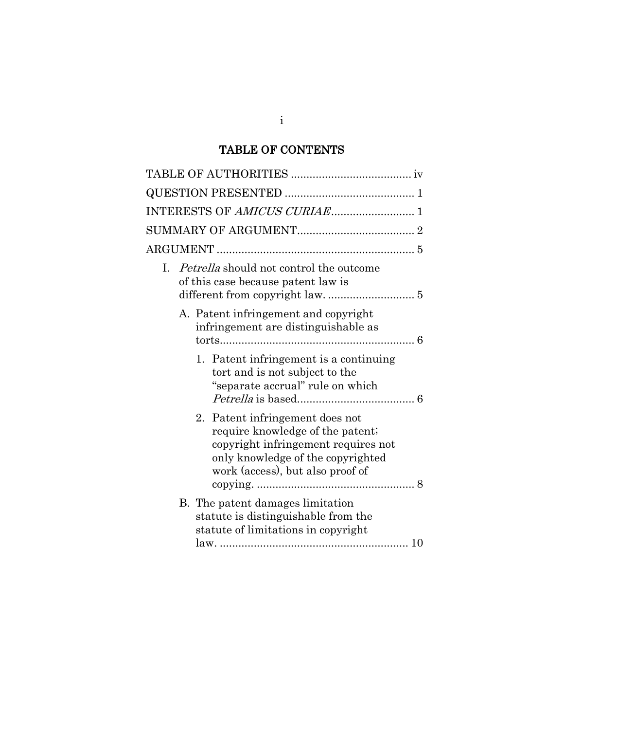# TABLE OF CONTENTS

| I. Petrella should not control the outcome<br>of this case because patent law is                                                                                                    |
|-------------------------------------------------------------------------------------------------------------------------------------------------------------------------------------|
| A. Patent infringement and copyright<br>infringement are distinguishable as                                                                                                         |
| 1. Patent infringement is a continuing<br>tort and is not subject to the<br>"separate accrual" rule on which                                                                        |
| 2. Patent infringement does not<br>require knowledge of the patent;<br>copyright infringement requires not<br>only knowledge of the copyrighted<br>work (access), but also proof of |
| B. The patent damages limitation<br>statute is distinguishable from the<br>statute of limitations in copyright                                                                      |

i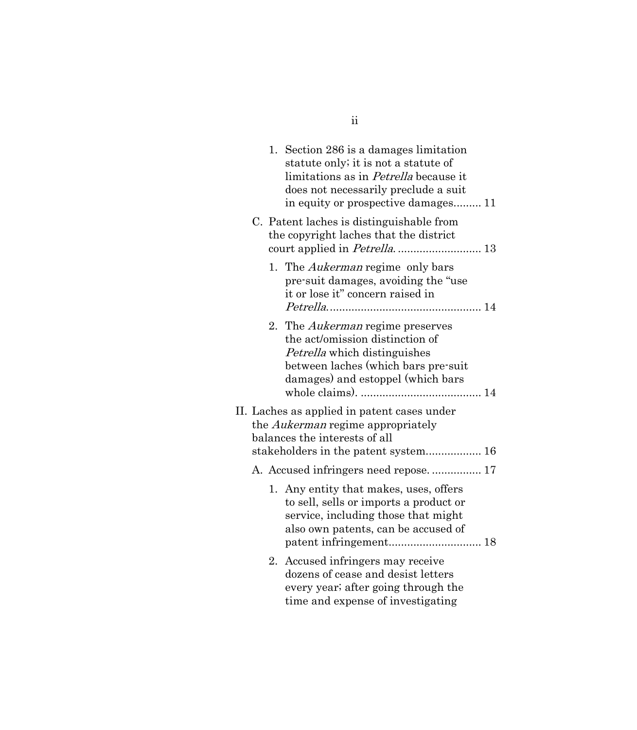|  | 1. | Section 286 is a damages limitation<br>statute only; it is not a statute of<br>limitations as in <i>Petrella</i> because it<br>does not necessarily preclude a suit<br>in equity or prospective damages 11 |  |
|--|----|------------------------------------------------------------------------------------------------------------------------------------------------------------------------------------------------------------|--|
|  |    | C. Patent laches is distinguishable from<br>the copyright laches that the district                                                                                                                         |  |
|  |    | 1. The <i>Aukerman</i> regime only bars<br>pre-suit damages, avoiding the "use<br>it or lose it" concern raised in                                                                                         |  |
|  | 2. | The <i>Aukerman</i> regime preserves<br>the act/omission distinction of<br>Petrella which distinguishes<br>between laches (which bars pre-suit<br>damages) and estoppel (which bars                        |  |
|  |    | II. Laches as applied in patent cases under<br>the <i>Aukerman</i> regime appropriately<br>balances the interests of all<br>stakeholders in the patent system 16                                           |  |
|  |    | A. Accused infringers need repose.  17                                                                                                                                                                     |  |
|  |    | 1. Any entity that makes, uses, offers<br>to sell, sells or imports a product or<br>service, including those that might<br>also own patents, can be accused of                                             |  |
|  | 2. | Accused infringers may receive<br>dozens of cease and desist letters<br>every year; after going through the<br>time and expense of investigating                                                           |  |

ii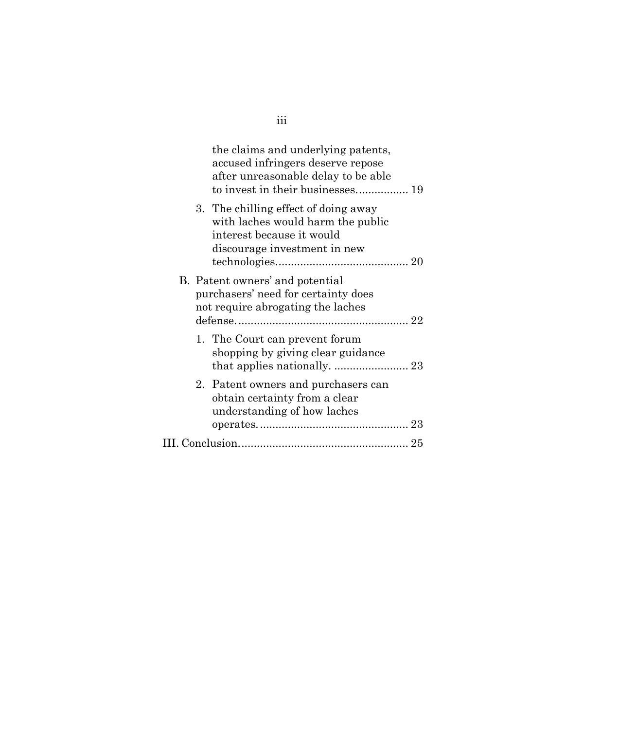|         | the claims and underlying patents,<br>accused infringers deserve repose<br>after unreasonable delay to be able                         |  |
|---------|----------------------------------------------------------------------------------------------------------------------------------------|--|
|         | 3. The chilling effect of doing away<br>with laches would harm the public<br>interest because it would<br>discourage investment in new |  |
|         | B. Patent owners' and potential<br>purchasers' need for certainty does<br>not require abrogating the laches                            |  |
|         | 1. The Court can prevent forum<br>shopping by giving clear guidance                                                                    |  |
| $2_{-}$ | Patent owners and purchasers can<br>obtain certainty from a clear<br>understanding of how laches                                       |  |
|         |                                                                                                                                        |  |
|         |                                                                                                                                        |  |

iii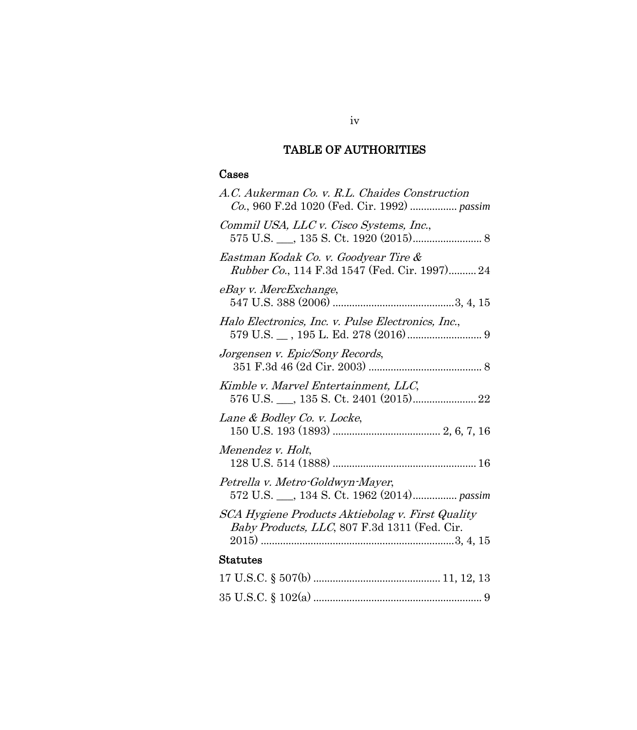# TABLE OF AUTHORITIES

# <span id="page-4-0"></span>Cases

| A.C. Aukerman Co. v. R.L. Chaides Construction                                                   |
|--------------------------------------------------------------------------------------------------|
| Commil USA, LLC v. Cisco Systems, Inc.,                                                          |
| Eastman Kodak Co. v. Goodyear Tire &<br><i>Rubber Co.</i> , 114 F.3d 1547 (Fed. Cir. 1997) 24    |
| eBay v. MercExchange,                                                                            |
| Halo Electronics, Inc. v. Pulse Electronics, Inc.,                                               |
| Jorgensen v. Epic/Sony Records,                                                                  |
| Kimble v. Marvel Entertainment, LLC,                                                             |
| Lane & Bodley Co. v. Locke,                                                                      |
| Menendez v. Holt,                                                                                |
| Petrella v. Metro-Goldwyn-Mayer,<br>572 U.S. __, 134 S. Ct. 1962 (2014) passim                   |
| SCA Hygiene Products Aktiebolag v. First Quality<br>Baby Products, LLC, 807 F.3d 1311 (Fed. Cir. |
| <b>Statutes</b>                                                                                  |
|                                                                                                  |
|                                                                                                  |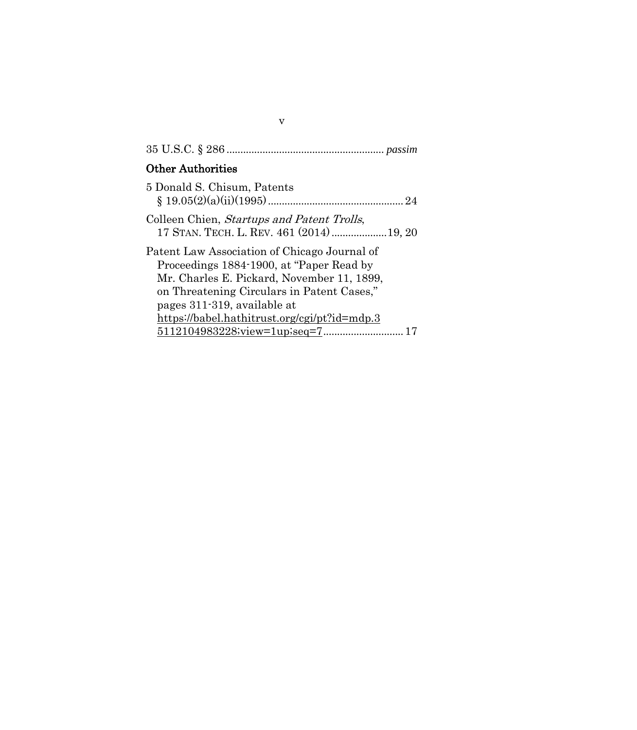# 35 U.S.C. § 286 ......................................................... *passim*

# Other Authorities

| 5 Donald S. Chisum, Patents                                                                                                                                                                                          |
|----------------------------------------------------------------------------------------------------------------------------------------------------------------------------------------------------------------------|
| Colleen Chien, Startups and Patent Trolls,<br>17 STAN. TECH. L. REV. 461 (2014) 19, 20                                                                                                                               |
| Patent Law Association of Chicago Journal of<br>Proceedings 1884-1900, at "Paper Read by"<br>Mr. Charles E. Pickard, November 11, 1899,<br>on Threatening Circulars in Patent Cases,"<br>pages 311-319, available at |
| https://babel.hathitrust.org/cgi/pt?id=mdp.3                                                                                                                                                                         |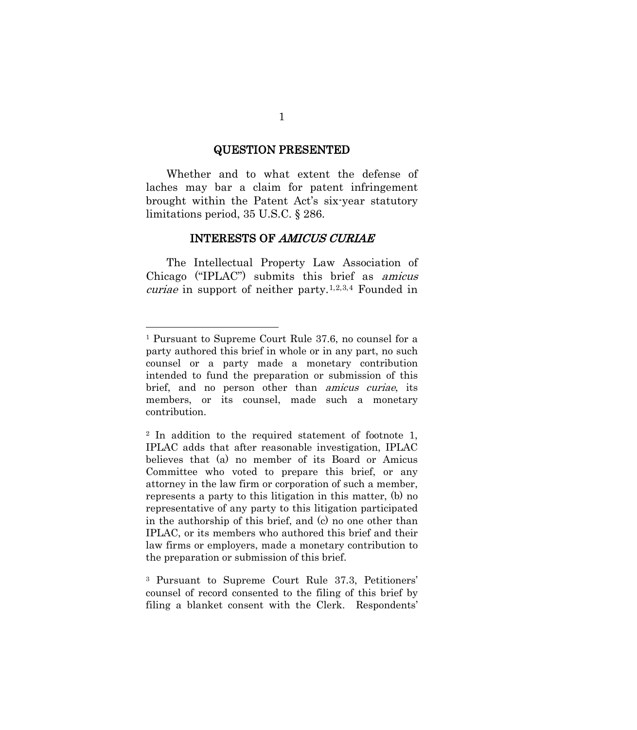#### QUESTION PRESENTED

<span id="page-6-0"></span>Whether and to what extent the defense of laches may bar a claim for patent infringement brought within the Patent Act's six-year statutory limitations period, 35 U.S.C. § 286.

#### INTERESTS OF AMICUS CURIAE

<span id="page-6-1"></span>The Intellectual Property Law Association of Chicago ("IPLAC") submits this brief as amicus *curiae* in support of neither party.<sup>[1,](#page-6-2)[2,](#page-6-3)[3](#page-6-4),[4](#page-6-5)</sup> Founded in

<span id="page-6-2"></span><sup>1</sup> Pursuant to Supreme Court Rule 37.6, no counsel for a party authored this brief in whole or in any part, no such counsel or a party made a monetary contribution intended to fund the preparation or submission of this brief, and no person other than amicus curiae, its members, or its counsel, made such a monetary contribution.

<span id="page-6-3"></span><sup>2</sup> In addition to the required statement of footnote 1, IPLAC adds that after reasonable investigation, IPLAC believes that (a) no member of its Board or Amicus Committee who voted to prepare this brief, or any attorney in the law firm or corporation of such a member, represents a party to this litigation in this matter, (b) no representative of any party to this litigation participated in the authorship of this brief, and (c) no one other than IPLAC, or its members who authored this brief and their law firms or employers, made a monetary contribution to the preparation or submission of this brief.

<span id="page-6-5"></span><span id="page-6-4"></span><sup>3</sup> Pursuant to Supreme Court Rule 37.3, Petitioners' counsel of record consented to the filing of this brief by filing a blanket consent with the Clerk. Respondents'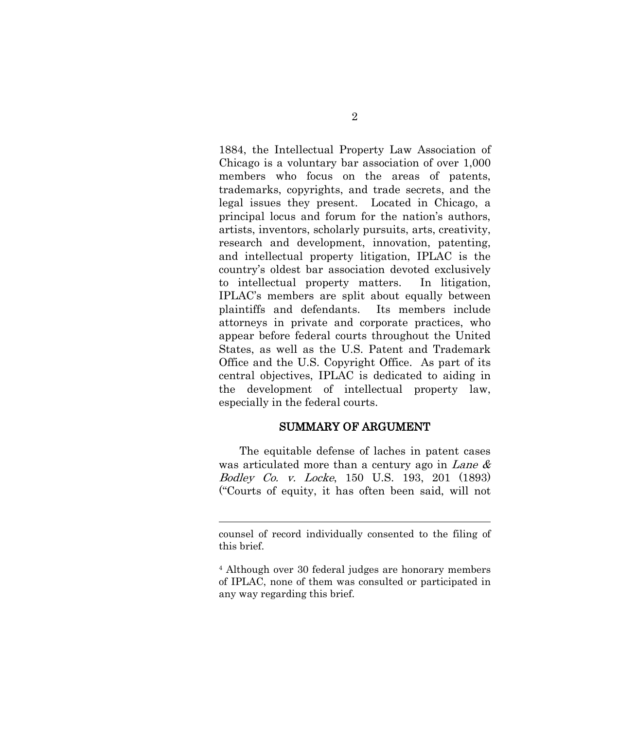1884, the Intellectual Property Law Association of Chicago is a voluntary bar association of over 1,000 members who focus on the areas of patents, trademarks, copyrights, and trade secrets, and the legal issues they present. Located in Chicago, a principal locus and forum for the nation's authors, artists, inventors, scholarly pursuits, arts, creativity, research and development, innovation, patenting, and intellectual property litigation, IPLAC is the country's oldest bar association devoted exclusively to intellectual property matters. In litigation, IPLAC's members are split about equally between plaintiffs and defendants. Its members include attorneys in private and corporate practices, who appear before federal courts throughout the United States, as well as the U.S. Patent and Trademark Office and the U.S. Copyright Office. As part of its central objectives, IPLAC is dedicated to aiding in the development of intellectual property law, especially in the federal courts.

#### SUMMARY OF ARGUMENT

<span id="page-7-0"></span>The equitable defense of laches in patent cases was articulated more than a century ago in Lane  $\&$ Bodley Co. v. Locke, 150 U.S. 193, 201 (1893) ("Courts of equity, it has often been said, will not

counsel of record individually consented to the filing of this brief.

<sup>4</sup> Although over 30 federal judges are honorary members of IPLAC, none of them was consulted or participated in any way regarding this brief.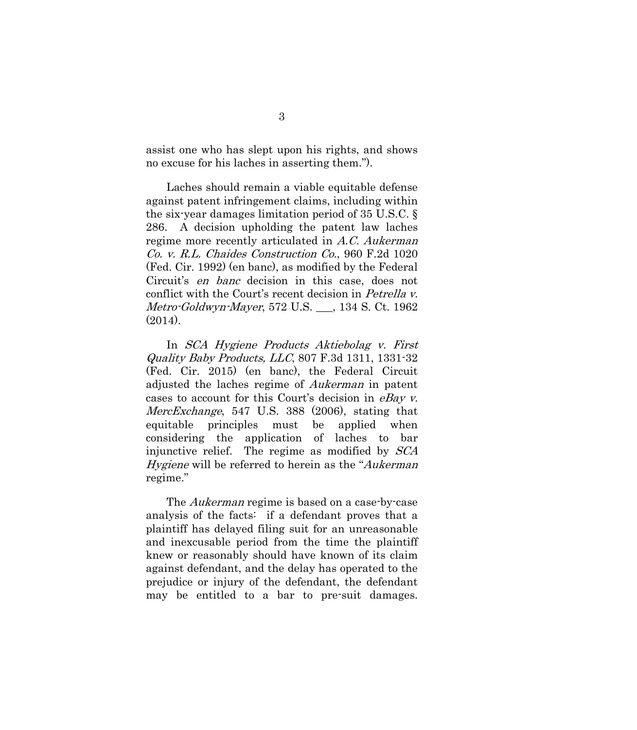assist one who has slept upon his rights, and shows no excuse for his laches in asserting them.").

Laches should remain a viable equitable defense against patent infringement claims, including within the six-year damages limitation period of 35 U.S.C. § 286. A decision upholding the patent law laches regime more recently articulated in A.C. Aukerman Co. v. R.L. Chaides Construction Co., 960 F.2d 1020 (Fed. Cir. 1992) (en banc), as modified by the Federal Circuit's en banc decision in this case, does not conflict with the Court's recent decision in Petrella v. Metro-Goldwyn-Mayer, 572 U.S. \_\_\_, 134 S. Ct. 1962 (2014).

In SCA Hygiene Products Aktiebolag v. First Quality Baby Products, LLC, 807 F.3d 1311, 1331-32 (Fed. Cir. 2015) (en banc), the Federal Circuit adjusted the laches regime of Aukerman in patent cases to account for this Court's decision in *eBay v.* MercExchange, 547 U.S. 388 (2006), stating that equitable principles must be applied when considering the application of laches to bar injunctive relief. The regime as modified by SCA Hygiene will be referred to herein as the "Aukerman" regime."

The Aukerman regime is based on a case-by-case analysis of the facts: if a defendant proves that a plaintiff has delayed filing suit for an unreasonable and inexcusable period from the time the plaintiff knew or reasonably should have known of its claim against defendant, and the delay has operated to the prejudice or injury of the defendant, the defendant may be entitled to a bar to pre-suit damages.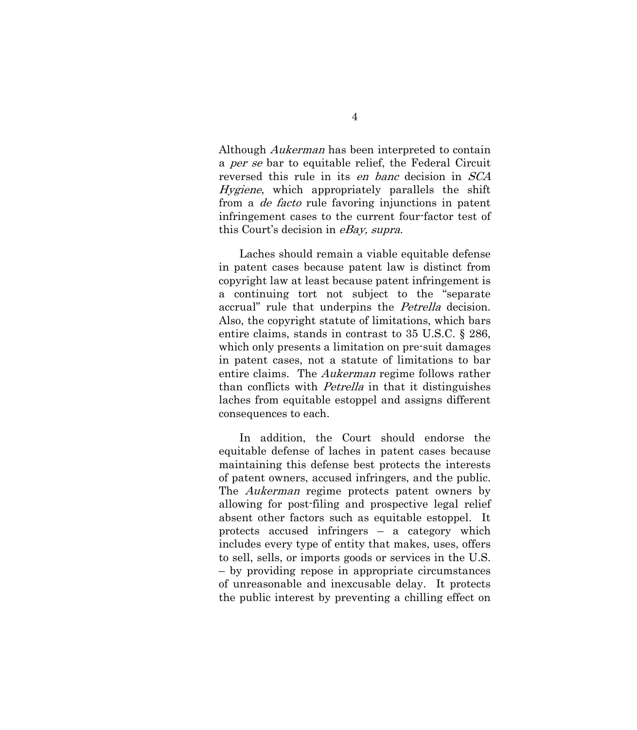Although Aukerman has been interpreted to contain a *per se* bar to equitable relief, the Federal Circuit reversed this rule in its en banc decision in SCA Hygiene, which appropriately parallels the shift from a de facto rule favoring injunctions in patent infringement cases to the current four-factor test of this Court's decision in eBay, supra.

Laches should remain a viable equitable defense in patent cases because patent law is distinct from copyright law at least because patent infringement is a continuing tort not subject to the "separate accrual" rule that underpins the *Petrella* decision. Also, the copyright statute of limitations, which bars entire claims, stands in contrast to 35 U.S.C. § 286, which only presents a limitation on pre-suit damages in patent cases, not a statute of limitations to bar entire claims. The Aukerman regime follows rather than conflicts with Petrella in that it distinguishes laches from equitable estoppel and assigns different consequences to each.

In addition, the Court should endorse the equitable defense of laches in patent cases because maintaining this defense best protects the interests of patent owners, accused infringers, and the public. The *Aukerman* regime protects patent owners by allowing for post-filing and prospective legal relief absent other factors such as equitable estoppel. It protects accused infringers – a category which includes every type of entity that makes, uses, offers to sell, sells, or imports goods or services in the U.S. – by providing repose in appropriate circumstances of unreasonable and inexcusable delay. It protects the public interest by preventing a chilling effect on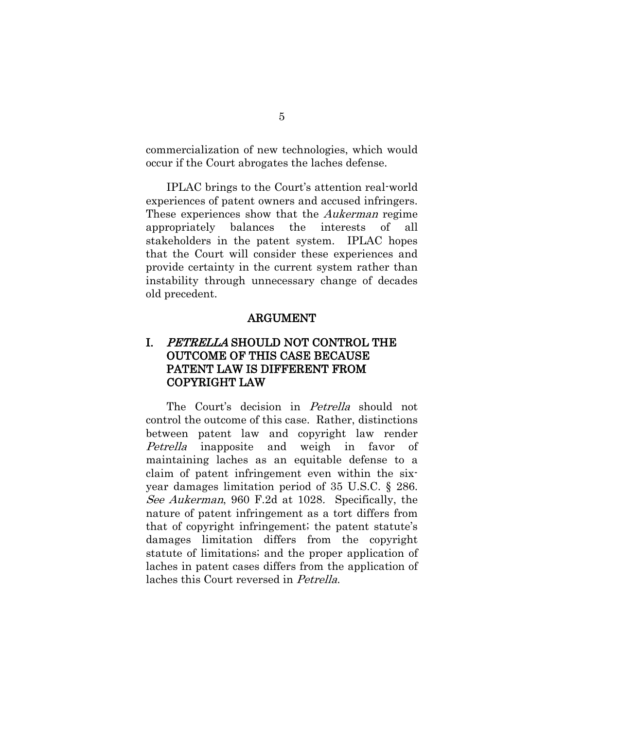commercialization of new technologies, which would occur if the Court abrogates the laches defense.

IPLAC brings to the Court's attention real-world experiences of patent owners and accused infringers. These experiences show that the *Aukerman* regime appropriately balances the interests of all stakeholders in the patent system. IPLAC hopes that the Court will consider these experiences and provide certainty in the current system rather than instability through unnecessary change of decades old precedent.

#### ARGUMENT

# <span id="page-10-1"></span><span id="page-10-0"></span>I. PETRELLA SHOULD NOT CONTROL THE OUTCOME OF THIS CASE BECAUSE PATENT LAW IS DIFFERENT FROM COPYRIGHT LAW

The Court's decision in *Petrella* should not control the outcome of this case. Rather, distinctions between patent law and copyright law render Petrella inapposite and weigh in favor of maintaining laches as an equitable defense to a claim of patent infringement even within the sixyear damages limitation period of 35 U.S.C. § 286. See Aukerman, 960 F.2d at 1028. Specifically, the nature of patent infringement as a tort differs from that of copyright infringement; the patent statute's damages limitation differs from the copyright statute of limitations; and the proper application of laches in patent cases differs from the application of laches this Court reversed in Petrella.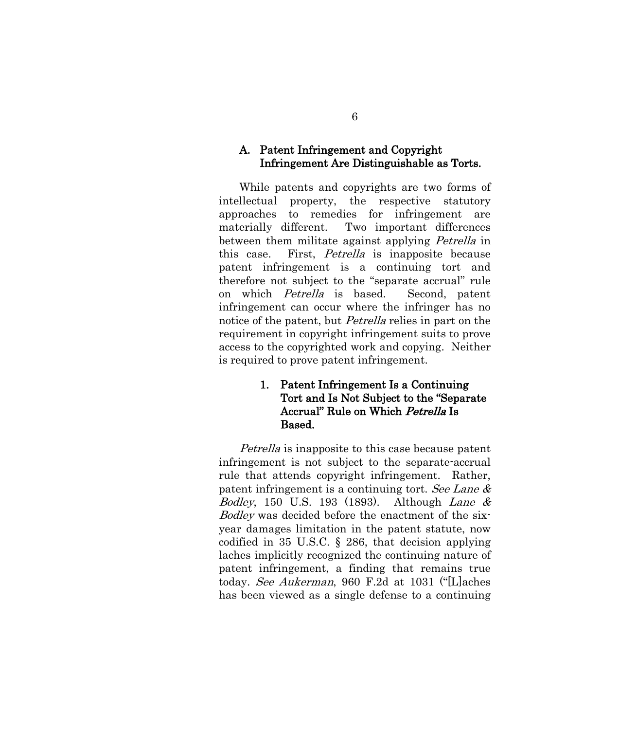#### <span id="page-11-0"></span>A. Patent Infringement and Copyright Infringement Are Distinguishable as Torts.

While patents and copyrights are two forms of intellectual property, the respective statutory approaches to remedies for infringement are materially different. Two important differences between them militate against applying *Petrella* in this case. First, Petrella is inapposite because patent infringement is a continuing tort and therefore not subject to the "separate accrual" rule on which Petrella is based. Second, patent infringement can occur where the infringer has no notice of the patent, but Petrella relies in part on the requirement in copyright infringement suits to prove access to the copyrighted work and copying. Neither is required to prove patent infringement.

# <span id="page-11-1"></span>1. Patent Infringement Is a Continuing Tort and Is Not Subject to the "Separate Accrual" Rule on Which Petrella Is Based.

Petrella is inapposite to this case because patent infringement is not subject to the separate-accrual rule that attends copyright infringement. Rather, patent infringement is a continuing tort. See Lane & *Bodley*, 150 U.S. 193 (1893). Although *Lane &* Bodley was decided before the enactment of the sixyear damages limitation in the patent statute, now codified in 35 U.S.C. § 286, that decision applying laches implicitly recognized the continuing nature of patent infringement, a finding that remains true today. See Aukerman, 960 F.2d at 1031 ("[L]aches has been viewed as a single defense to a continuing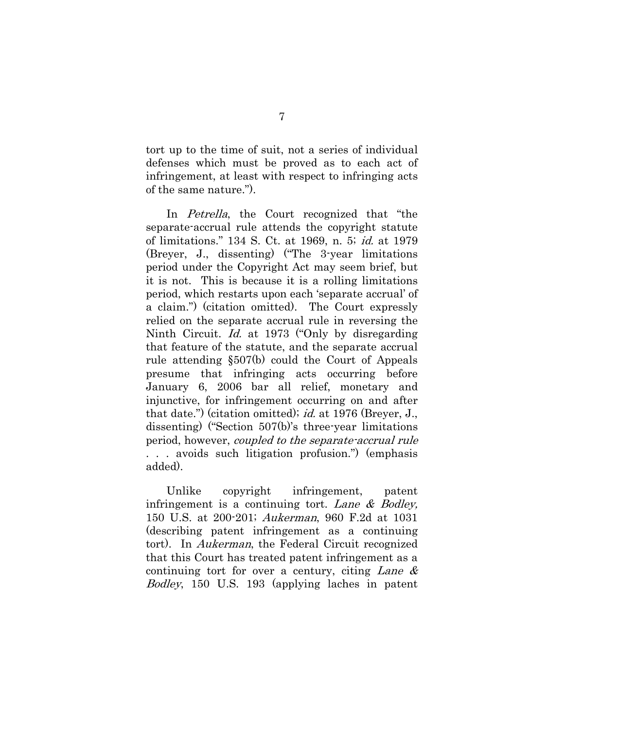tort up to the time of suit, not a series of individual defenses which must be proved as to each act of infringement, at least with respect to infringing acts of the same nature.").

In *Petrella*, the Court recognized that "the separate-accrual rule attends the copyright statute of limitations." 134 S. Ct. at 1969, n. 5; id. at 1979 (Breyer, J., dissenting) ("The 3-year limitations period under the Copyright Act may seem brief, but it is not. This is because it is a rolling limitations period, which restarts upon each 'separate accrual' of a claim.") (citation omitted). The Court expressly relied on the separate accrual rule in reversing the Ninth Circuit. *Id.* at 1973 ("Only by disregarding" that feature of the statute, and the separate accrual rule attending §507(b) could the Court of Appeals presume that infringing acts occurring before January 6, 2006 bar all relief, monetary and injunctive, for infringement occurring on and after that date.") (citation omitted); id. at 1976 (Breyer, J., dissenting) ("Section 507(b)'s three-year limitations period, however, coupled to the separate-accrual rule . . . avoids such litigation profusion.") (emphasis added).

Unlike copyright infringement, patent infringement is a continuing tort. Lane & Bodley, 150 U.S. at 200-201; Aukerman, 960 F.2d at 1031 (describing patent infringement as a continuing tort). In Aukerman, the Federal Circuit recognized that this Court has treated patent infringement as a continuing tort for over a century, citing Lane  $\&$ Bodley, 150 U.S. 193 (applying laches in patent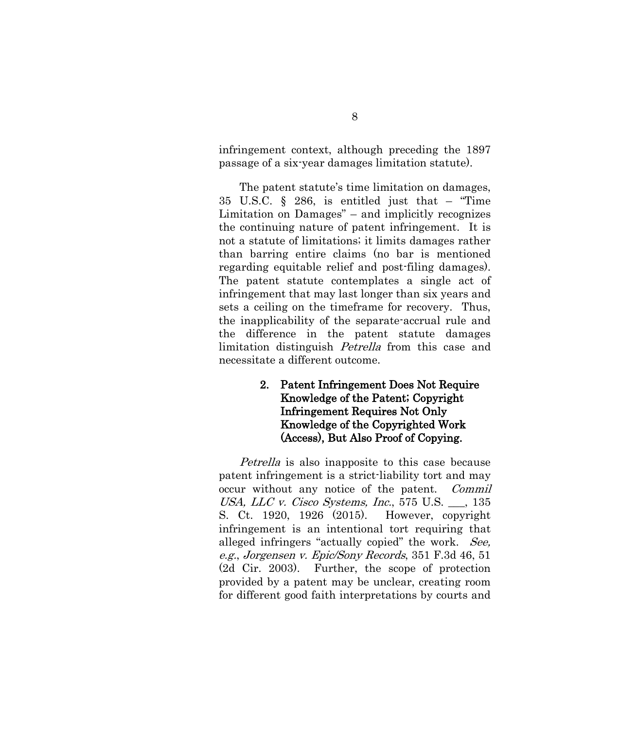infringement context, although preceding the 1897 passage of a six-year damages limitation statute).

The patent statute's time limitation on damages, 35 U.S.C. § 286, is entitled just that – "Time Limitation on Damages" – and implicitly recognizes the continuing nature of patent infringement. It is not a statute of limitations; it limits damages rather than barring entire claims (no bar is mentioned regarding equitable relief and post-filing damages). The patent statute contemplates a single act of infringement that may last longer than six years and sets a ceiling on the timeframe for recovery. Thus, the inapplicability of the separate-accrual rule and the difference in the patent statute damages limitation distinguish Petrella from this case and necessitate a different outcome.

# <span id="page-13-0"></span>2. Patent Infringement Does Not Require Knowledge of the Patent; Copyright Infringement Requires Not Only Knowledge of the Copyrighted Work (Access), But Also Proof of Copying.

Petrella is also inapposite to this case because patent infringement is a strict-liability tort and may occur without any notice of the patent. *Commil* USA, LLC v. Cisco Systems, Inc., 575 U.S. \_\_\_, 135 S. Ct. 1920, 1926 (2015). However, copyright infringement is an intentional tort requiring that alleged infringers "actually copied" the work. See, e.g., Jorgensen v. Epic/Sony Records, 351 F.3d 46, 51 (2d Cir. 2003). Further, the scope of protection provided by a patent may be unclear, creating room for different good faith interpretations by courts and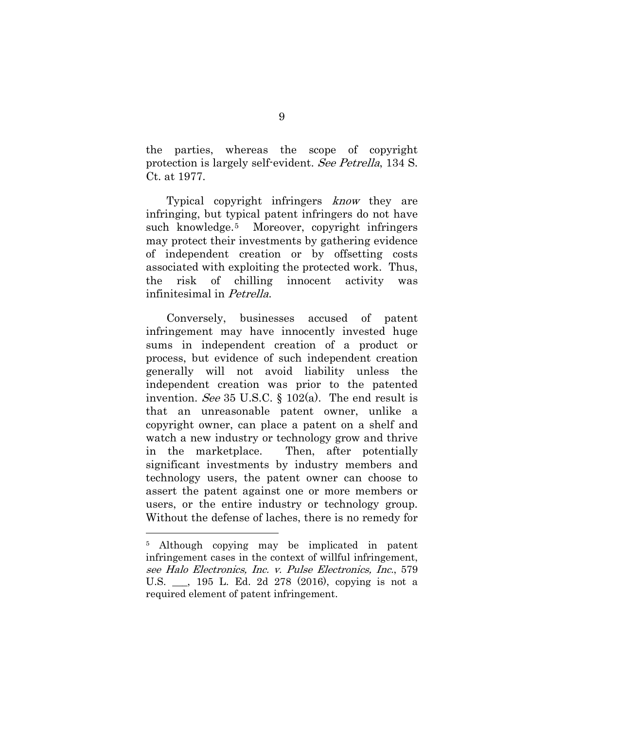the parties, whereas the scope of copyright protection is largely self-evident. See Petrella, 134 S. Ct. at 1977.

Typical copyright infringers know they are infringing, but typical patent infringers do not have such knowledge.[5](#page-15-1) Moreover, copyright infringers may protect their investments by gathering evidence of independent creation or by offsetting costs associated with exploiting the protected work. Thus, the risk of chilling innocent activity was infinitesimal in Petrella.

Conversely, businesses accused of patent infringement may have innocently invested huge sums in independent creation of a product or process, but evidence of such independent creation generally will not avoid liability unless the independent creation was prior to the patented invention. See 35 U.S.C.  $\S$  102(a). The end result is that an unreasonable patent owner, unlike a copyright owner, can place a patent on a shelf and watch a new industry or technology grow and thrive in the marketplace. Then, after potentially significant investments by industry members and technology users, the patent owner can choose to assert the patent against one or more members or users, or the entire industry or technology group. Without the defense of laches, there is no remedy for

<sup>5</sup> Although copying may be implicated in patent infringement cases in the context of willful infringement, see Halo Electronics, Inc. v. Pulse Electronics, Inc., 579 U.S. \_\_\_, 195 L. Ed. 2d 278 (2016), copying is not a required element of patent infringement.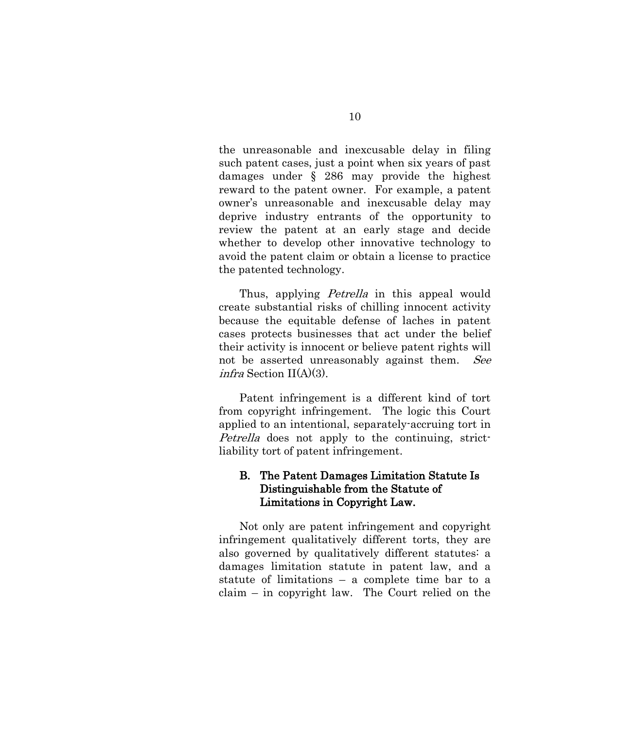the unreasonable and inexcusable delay in filing such patent cases, just a point when six years of past damages under § 286 may provide the highest reward to the patent owner. For example, a patent owner's unreasonable and inexcusable delay may deprive industry entrants of the opportunity to review the patent at an early stage and decide whether to develop other innovative technology to avoid the patent claim or obtain a license to practice the patented technology.

Thus, applying *Petrella* in this appeal would create substantial risks of chilling innocent activity because the equitable defense of laches in patent cases protects businesses that act under the belief their activity is innocent or believe patent rights will not be asserted unreasonably against them. See *infra* Section II(A)(3).

Patent infringement is a different kind of tort from copyright infringement. The logic this Court applied to an intentional, separately-accruing tort in Petrella does not apply to the continuing, strictliability tort of patent infringement.

## <span id="page-15-0"></span>B. The Patent Damages Limitation Statute Is Distinguishable from the Statute of Limitations in Copyright Law.

<span id="page-15-1"></span>Not only are patent infringement and copyright infringement qualitatively different torts, they are also governed by qualitatively different statutes: a damages limitation statute in patent law, and a statute of limitations – a complete time bar to a claim – in copyright law. The Court relied on the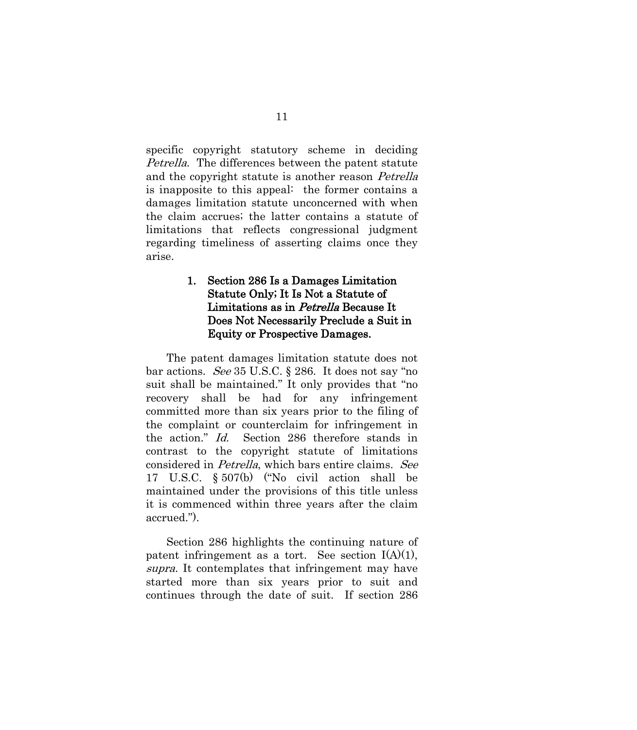specific copyright statutory scheme in deciding Petrella. The differences between the patent statute and the copyright statute is another reason Petrella is inapposite to this appeal: the former contains a damages limitation statute unconcerned with when the claim accrues; the latter contains a statute of limitations that reflects congressional judgment regarding timeliness of asserting claims once they arise.

# <span id="page-16-0"></span>1. Section 286 Is a Damages Limitation Statute Only; It Is Not a Statute of Limitations as in Petrella Because It Does Not Necessarily Preclude a Suit in Equity or Prospective Damages.

The patent damages limitation statute does not bar actions. See 35 U.S.C. § 286. It does not say "no suit shall be maintained." It only provides that "no recovery shall be had for any infringement committed more than six years prior to the filing of the complaint or counterclaim for infringement in the action." Id. Section 286 therefore stands in contrast to the copyright statute of limitations considered in Petrella, which bars entire claims. See 17 U.S.C. § 507(b) ("No civil action shall be maintained under the provisions of this title unless it is commenced within three years after the claim accrued.").

Section 286 highlights the continuing nature of patent infringement as a tort. See section I(A)(1), supra. It contemplates that infringement may have started more than six years prior to suit and continues through the date of suit. If section 286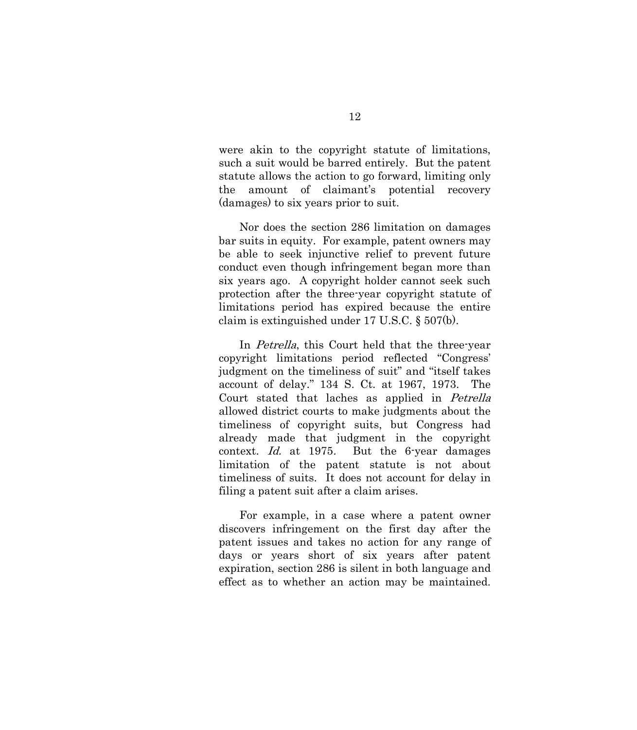were akin to the copyright statute of limitations, such a suit would be barred entirely. But the patent statute allows the action to go forward, limiting only the amount of claimant's potential recovery (damages) to six years prior to suit.

Nor does the section 286 limitation on damages bar suits in equity. For example, patent owners may be able to seek injunctive relief to prevent future conduct even though infringement began more than six years ago. A copyright holder cannot seek such protection after the three-year copyright statute of limitations period has expired because the entire claim is extinguished under 17 U.S.C. § 507(b).

In *Petrella*, this Court held that the three-year copyright limitations period reflected "Congress' judgment on the timeliness of suit" and "itself takes account of delay." 134 S. Ct. at 1967, 1973. The Court stated that laches as applied in Petrella allowed district courts to make judgments about the timeliness of copyright suits, but Congress had already made that judgment in the copyright context. Id. at 1975. But the 6-year damages limitation of the patent statute is not about timeliness of suits. It does not account for delay in filing a patent suit after a claim arises.

For example, in a case where a patent owner discovers infringement on the first day after the patent issues and takes no action for any range of days or years short of six years after patent expiration, section 286 is silent in both language and effect as to whether an action may be maintained.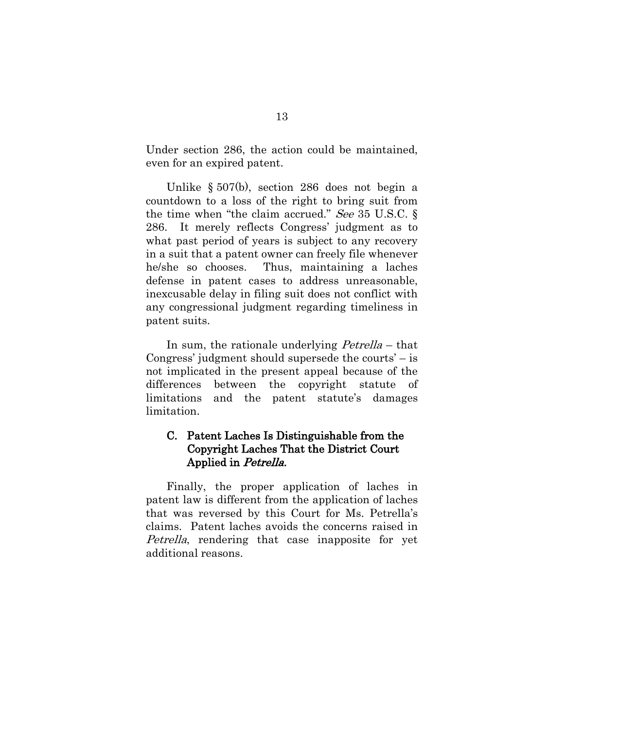Under section 286, the action could be maintained, even for an expired patent.

Unlike § 507(b), section 286 does not begin a countdown to a loss of the right to bring suit from the time when "the claim accrued." See 35 U.S.C.  $\S$ 286. It merely reflects Congress' judgment as to what past period of years is subject to any recovery in a suit that a patent owner can freely file whenever he/she so chooses. Thus, maintaining a laches defense in patent cases to address unreasonable, inexcusable delay in filing suit does not conflict with any congressional judgment regarding timeliness in patent suits.

In sum, the rationale underlying *Petrella* – that Congress' judgment should supersede the courts' – is not implicated in the present appeal because of the differences between the copyright statute of limitations and the patent statute's damages limitation.

# <span id="page-18-0"></span>C. Patent Laches Is Distinguishable from the Copyright Laches That the District Court Applied in Petrella.

Finally, the proper application of laches in patent law is different from the application of laches that was reversed by this Court for Ms. Petrella's claims. Patent laches avoids the concerns raised in Petrella, rendering that case inapposite for yet additional reasons.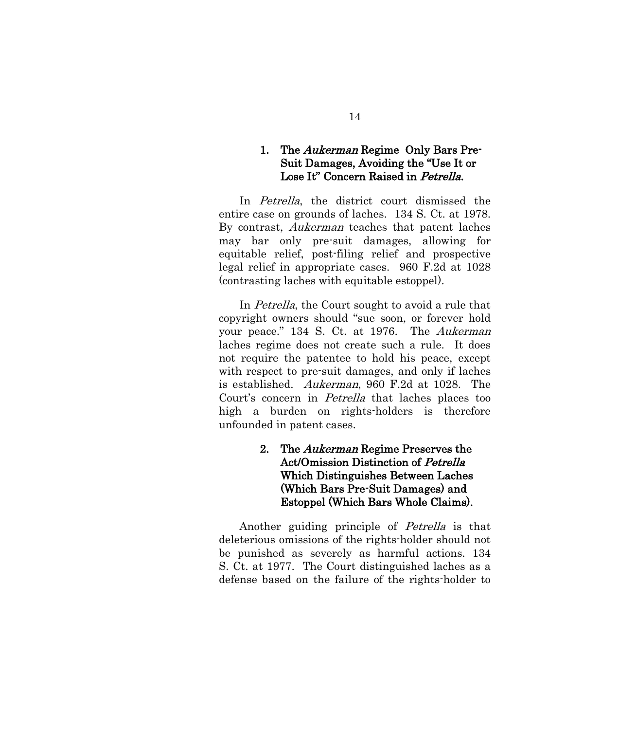## <span id="page-19-0"></span>1. The *Aukerman* Regime Only Bars Pre-Suit Damages, Avoiding the "Use It or Lose It" Concern Raised in Petrella.

In *Petrella*, the district court dismissed the entire case on grounds of laches. 134 S. Ct. at 1978. By contrast, Aukerman teaches that patent laches may bar only pre-suit damages, allowing for equitable relief, post-filing relief and prospective legal relief in appropriate cases. 960 F.2d at 1028 (contrasting laches with equitable estoppel).

In *Petrella*, the Court sought to avoid a rule that copyright owners should "sue soon, or forever hold your peace." 134 S. Ct. at 1976. The Aukerman laches regime does not create such a rule. It does not require the patentee to hold his peace, except with respect to pre-suit damages, and only if laches is established. Aukerman, 960 F.2d at 1028. The Court's concern in Petrella that laches places too high a burden on rights-holders is therefore unfounded in patent cases.

> <span id="page-19-1"></span>2. The *Aukerman* Regime Preserves the Act/Omission Distinction of Petrella Which Distinguishes Between Laches (Which Bars Pre-Suit Damages) and Estoppel (Which Bars Whole Claims).

Another guiding principle of Petrella is that deleterious omissions of the rights-holder should not be punished as severely as harmful actions. 134 S. Ct. at 1977. The Court distinguished laches as a defense based on the failure of the rights-holder to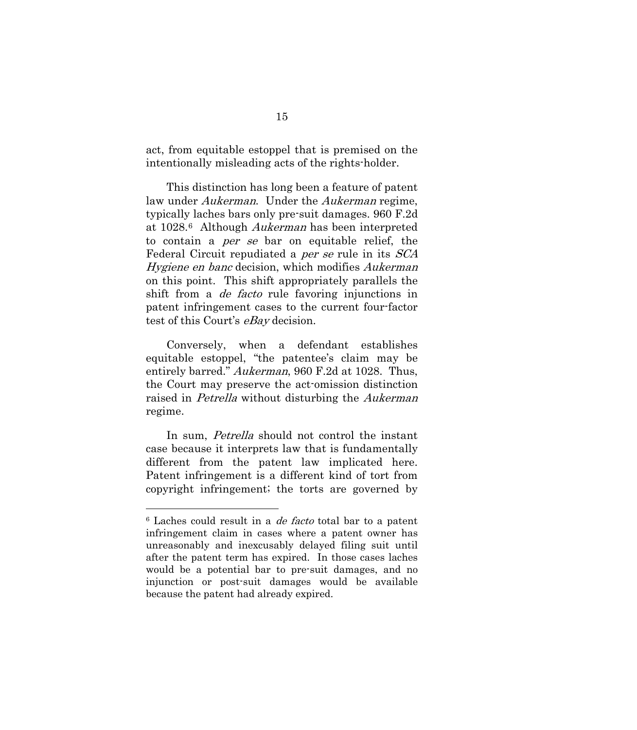act, from equitable estoppel that is premised on the intentionally misleading acts of the rights-holder.

This distinction has long been a feature of patent law under *Aukerman*. Under the *Aukerman* regime, typically laches bars only pre-suit damages. 960 F.2d at 1028[.6](#page-22-1) Although Aukerman has been interpreted to contain a per se bar on equitable relief, the Federal Circuit repudiated a *per se* rule in its *SCA* Hygiene en banc decision, which modifies Aukerman on this point. This shift appropriately parallels the shift from a *de facto* rule favoring injunctions in patent infringement cases to the current four-factor test of this Court's eBay decision.

Conversely, when a defendant establishes equitable estoppel, "the patentee's claim may be entirely barred." Aukerman, 960 F.2d at 1028. Thus, the Court may preserve the act-omission distinction raised in Petrella without disturbing the Aukerman regime.

In sum, Petrella should not control the instant case because it interprets law that is fundamentally different from the patent law implicated here. Patent infringement is a different kind of tort from copyright infringement; the torts are governed by

<sup>6</sup> Laches could result in a de facto total bar to a patent infringement claim in cases where a patent owner has unreasonably and inexcusably delayed filing suit until after the patent term has expired. In those cases laches would be a potential bar to pre-suit damages, and no injunction or post-suit damages would be available because the patent had already expired.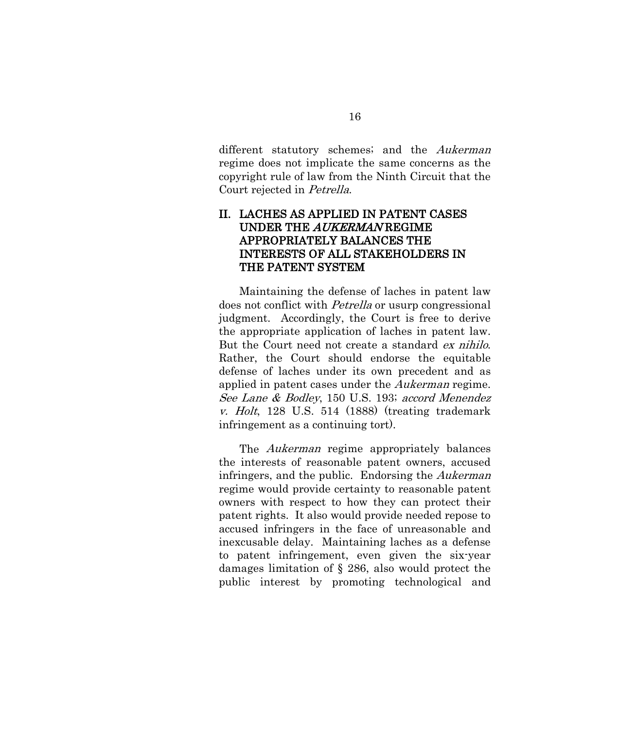different statutory schemes; and the Aukerman regime does not implicate the same concerns as the copyright rule of law from the Ninth Circuit that the Court rejected in Petrella.

# <span id="page-21-0"></span>II. LACHES AS APPLIED IN PATENT CASES UNDER THE AUKERMAN REGIME APPROPRIATELY BALANCES THE INTERESTS OF ALL STAKEHOLDERS IN THE PATENT SYSTEM

Maintaining the defense of laches in patent law does not conflict with Petrella or usurp congressional judgment. Accordingly, the Court is free to derive the appropriate application of laches in patent law. But the Court need not create a standard ex nihilo. Rather, the Court should endorse the equitable defense of laches under its own precedent and as applied in patent cases under the Aukerman regime. See Lane & Bodley, 150 U.S. 193; accord Menendez v. Holt, 128 U.S. 514 (1888) (treating trademark infringement as a continuing tort).

The *Aukerman* regime appropriately balances the interests of reasonable patent owners, accused infringers, and the public. Endorsing the Aukerman regime would provide certainty to reasonable patent owners with respect to how they can protect their patent rights. It also would provide needed repose to accused infringers in the face of unreasonable and inexcusable delay. Maintaining laches as a defense to patent infringement, even given the six-year damages limitation of § 286, also would protect the public interest by promoting technological and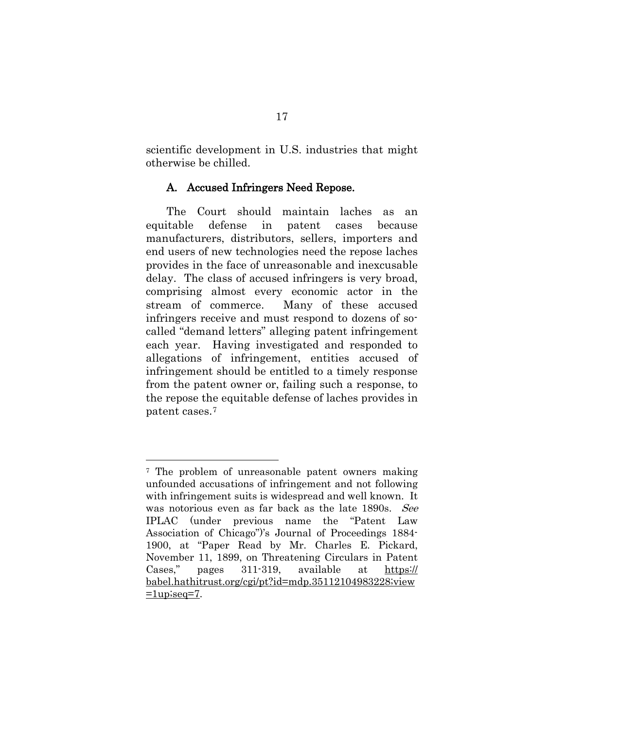scientific development in U.S. industries that might otherwise be chilled.

#### <span id="page-22-0"></span>A. Accused Infringers Need Repose.

The Court should maintain laches as an equitable defense in patent cases because manufacturers, distributors, sellers, importers and end users of new technologies need the repose laches provides in the face of unreasonable and inexcusable delay. The class of accused infringers is very broad, comprising almost every economic actor in the stream of commerce. Many of these accused infringers receive and must respond to dozens of socalled "demand letters" alleging patent infringement each year. Having investigated and responded to allegations of infringement, entities accused of infringement should be entitled to a timely response from the patent owner or, failing such a response, to the repose the equitable defense of laches provides in patent cases.[7](#page-25-1)

<span id="page-22-1"></span><sup>&</sup>lt;sup>7</sup> The problem of unreasonable patent owners making unfounded accusations of infringement and not following with infringement suits is widespread and well known. It was notorious even as far back as the late 1890s. See IPLAC (under previous name the "Patent Law Association of Chicago")'s Journal of Proceedings 1884- 1900, at "Paper Read by Mr. Charles E. Pickard, November 11, 1899, on Threatening Circulars in Patent Cases," pages 311-319, available at https:// babel.hathitrust.org/cgi/pt?id=mdp.35112104983228;view  $=1$ up;seq=7.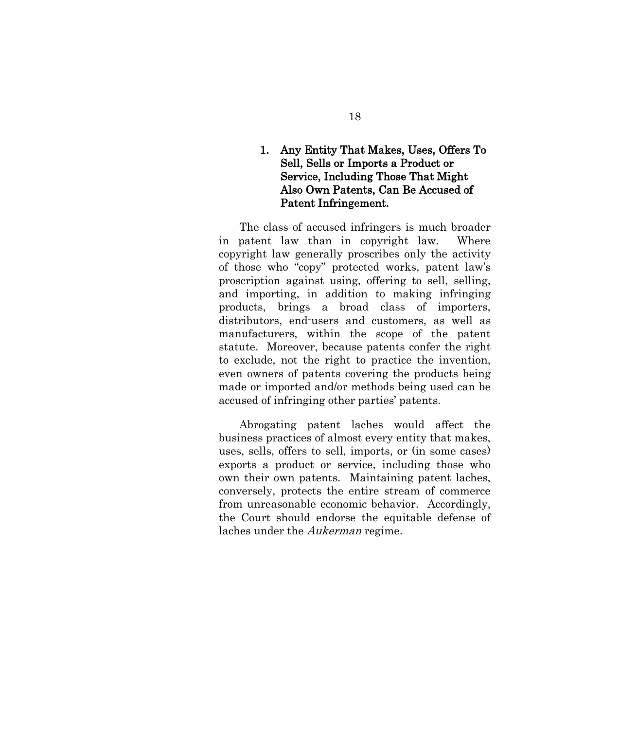# <span id="page-23-0"></span>1. Any Entity That Makes, Uses, Offers To Sell, Sells or Imports a Product or Service, Including Those That Might Also Own Patents, Can Be Accused of Patent Infringement.

The class of accused infringers is much broader in patent law than in copyright law. Where copyright law generally proscribes only the activity of those who "copy" protected works, patent law's proscription against using, offering to sell, selling, and importing, in addition to making infringing products, brings a broad class of importers, distributors, end-users and customers, as well as manufacturers, within the scope of the patent statute. Moreover, because patents confer the right to exclude, not the right to practice the invention, even owners of patents covering the products being made or imported and/or methods being used can be accused of infringing other parties' patents.

Abrogating patent laches would affect the business practices of almost every entity that makes, uses, sells, offers to sell, imports, or (in some cases) exports a product or service, including those who own their own patents. Maintaining patent laches, conversely, protects the entire stream of commerce from unreasonable economic behavior. Accordingly, the Court should endorse the equitable defense of laches under the Aukerman regime.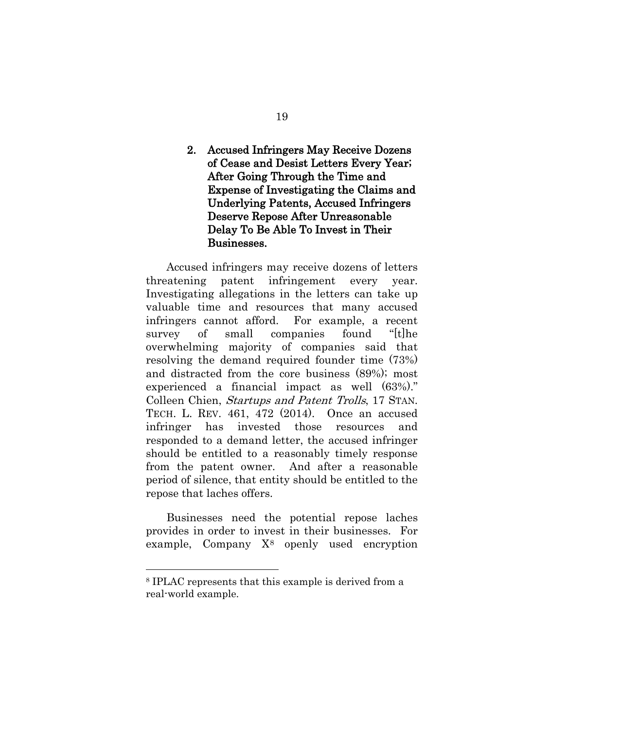# <span id="page-24-0"></span>2. Accused Infringers May Receive Dozens of Cease and Desist Letters Every Year; After Going Through the Time and Expense of Investigating the Claims and Underlying Patents, Accused Infringers Deserve Repose After Unreasonable Delay To Be Able To Invest in Their Businesses.

Accused infringers may receive dozens of letters threatening patent infringement every year. Investigating allegations in the letters can take up valuable time and resources that many accused infringers cannot afford. For example, a recent survey of small companies found "[t]he overwhelming majority of companies said that resolving the demand required founder time (73%) and distracted from the core business (89%); most experienced a financial impact as well (63%)." Colleen Chien, Startups and Patent Trolls, 17 STAN. TECH. L. REV. 461, 472 (2014). Once an accused infringer has invested those resources and responded to a demand letter, the accused infringer should be entitled to a reasonably timely response from the patent owner. And after a reasonable period of silence, that entity should be entitled to the repose that laches offers.

Businesses need the potential repose laches provides in order to invest in their businesses. For example, Company  $X^8$  $X^8$  openly used encryption

<sup>8</sup> IPLAC represents that this example is derived from a real-world example.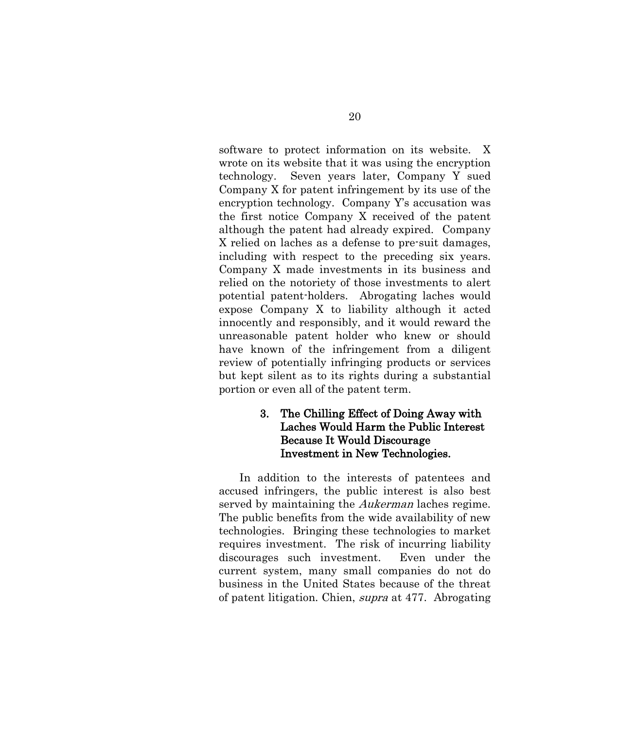software to protect information on its website. X wrote on its website that it was using the encryption technology. Seven years later, Company Y sued Company X for patent infringement by its use of the encryption technology. Company Y's accusation was the first notice Company X received of the patent although the patent had already expired. Company X relied on laches as a defense to pre-suit damages, including with respect to the preceding six years. Company X made investments in its business and relied on the notoriety of those investments to alert potential patent-holders. Abrogating laches would expose Company X to liability although it acted innocently and responsibly, and it would reward the unreasonable patent holder who knew or should have known of the infringement from a diligent review of potentially infringing products or services but kept silent as to its rights during a substantial portion or even all of the patent term.

# <span id="page-25-0"></span>3. The Chilling Effect of Doing Away with Laches Would Harm the Public Interest Because It Would Discourage Investment in New Technologies.

<span id="page-25-1"></span>In addition to the interests of patentees and accused infringers, the public interest is also best served by maintaining the *Aukerman* laches regime. The public benefits from the wide availability of new technologies. Bringing these technologies to market requires investment. The risk of incurring liability discourages such investment. Even under the current system, many small companies do not do business in the United States because of the threat of patent litigation. Chien, supra at 477. Abrogating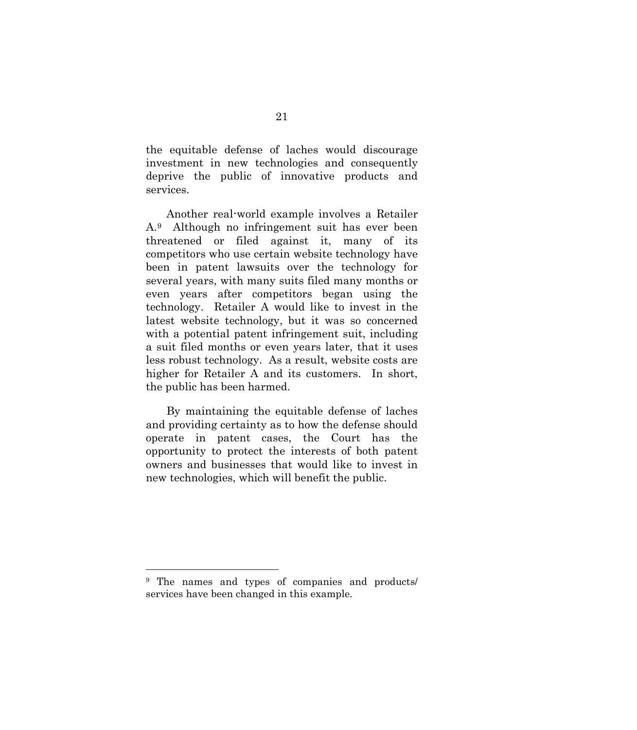the equitable defense of laches would discourage investment in new technologies and consequently deprive the public of innovative products and services.

Another real-world example involves a Retailer A.[9](#page-29-0) Although no infringement suit has ever been threatened or filed against it, many of its competitors who use certain website technology have been in patent lawsuits over the technology for several years, with many suits filed many months or even years after competitors began using the technology. Retailer A would like to invest in the latest website technology, but it was so concerned with a potential patent infringement suit, including a suit filed months or even years later, that it uses less robust technology. As a result, website costs are higher for Retailer A and its customers. In short, the public has been harmed.

By maintaining the equitable defense of laches and providing certainty as to how the defense should operate in patent cases, the Court has the opportunity to protect the interests of both patent owners and businesses that would like to invest in new technologies, which will benefit the public.

<sup>9</sup> The names and types of companies and products/ services have been changed in this example.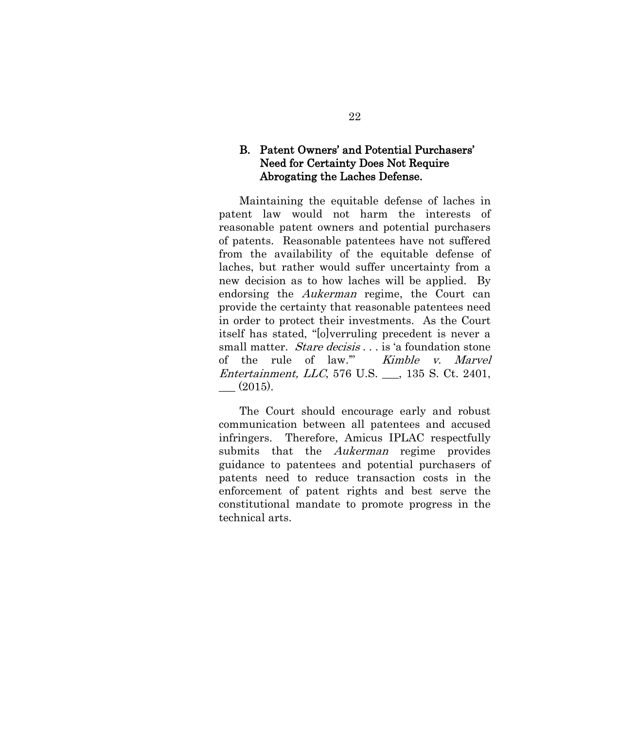# <span id="page-27-0"></span>B. Patent Owners' and Potential Purchasers' Need for Certainty Does Not Require Abrogating the Laches Defense.

Maintaining the equitable defense of laches in patent law would not harm the interests of reasonable patent owners and potential purchasers of patents. Reasonable patentees have not suffered from the availability of the equitable defense of laches, but rather would suffer uncertainty from a new decision as to how laches will be applied. By endorsing the Aukerman regime, the Court can provide the certainty that reasonable patentees need in order to protect their investments. As the Court itself has stated, "[o]verruling precedent is never a small matter. *Stare decisis* . . . is 'a foundation stone of the rule of law.'" Kimble v. Marvel Entertainment, LLC, 576 U.S. \_\_\_, 135 S. Ct. 2401,  $-$  (2015).

The Court should encourage early and robust communication between all patentees and accused infringers. Therefore, Amicus IPLAC respectfully submits that the *Aukerman* regime provides guidance to patentees and potential purchasers of patents need to reduce transaction costs in the enforcement of patent rights and best serve the constitutional mandate to promote progress in the technical arts.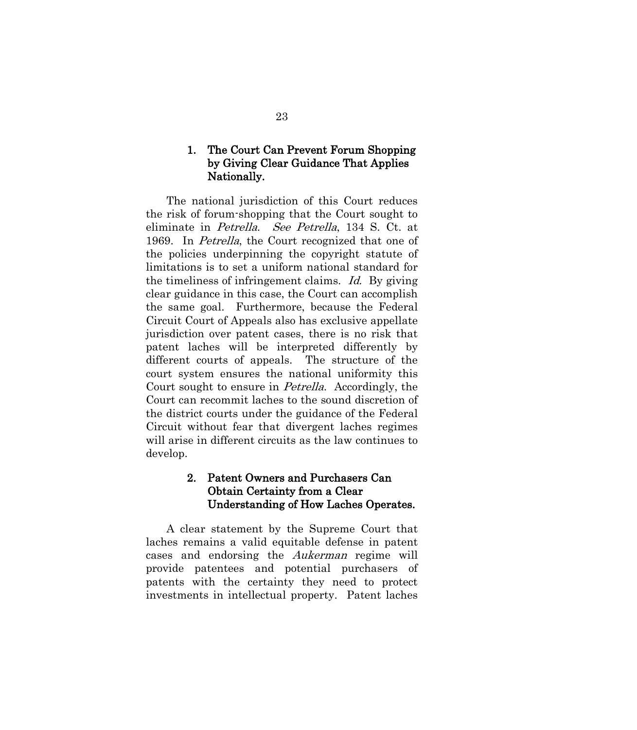## <span id="page-28-0"></span>1. The Court Can Prevent Forum Shopping by Giving Clear Guidance That Applies Nationally.

The national jurisdiction of this Court reduces the risk of forum-shopping that the Court sought to eliminate in Petrella. See Petrella, 134 S. Ct. at 1969. In *Petrella*, the Court recognized that one of the policies underpinning the copyright statute of limitations is to set a uniform national standard for the timeliness of infringement claims. Id. By giving clear guidance in this case, the Court can accomplish the same goal. Furthermore, because the Federal Circuit Court of Appeals also has exclusive appellate jurisdiction over patent cases, there is no risk that patent laches will be interpreted differently by different courts of appeals. The structure of the court system ensures the national uniformity this Court sought to ensure in Petrella. Accordingly, the Court can recommit laches to the sound discretion of the district courts under the guidance of the Federal Circuit without fear that divergent laches regimes will arise in different circuits as the law continues to develop.

# <span id="page-28-1"></span>2. Patent Owners and Purchasers Can Obtain Certainty from a Clear Understanding of How Laches Operates.

<span id="page-28-2"></span>A clear statement by the Supreme Court that laches remains a valid equitable defense in patent cases and endorsing the Aukerman regime will provide patentees and potential purchasers of patents with the certainty they need to protect investments in intellectual property. Patent laches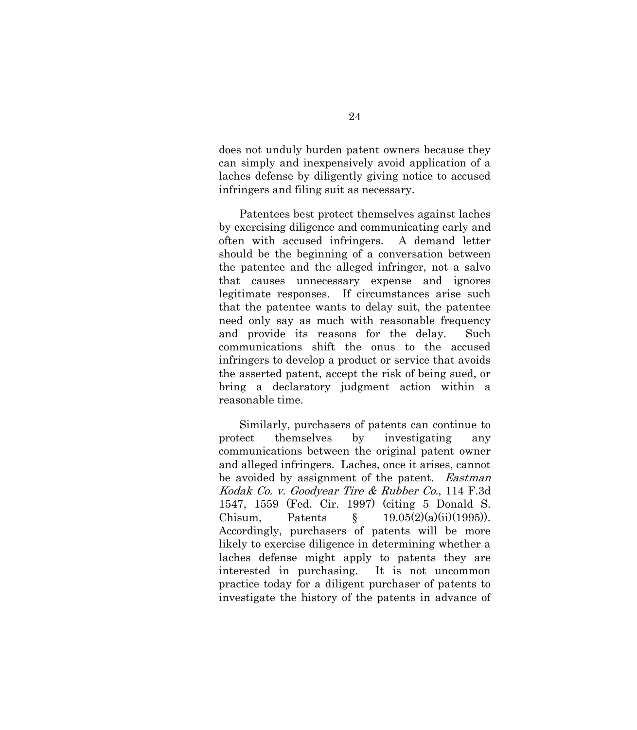does not unduly burden patent owners because they can simply and inexpensively avoid application of a laches defense by diligently giving notice to accused infringers and filing suit as necessary.

Patentees best protect themselves against laches by exercising diligence and communicating early and often with accused infringers. A demand letter should be the beginning of a conversation between the patentee and the alleged infringer, not a salvo that causes unnecessary expense and ignores legitimate responses. If circumstances arise such that the patentee wants to delay suit, the patentee need only say as much with reasonable frequency and provide its reasons for the delay. Such communications shift the onus to the accused infringers to develop a product or service that avoids the asserted patent, accept the risk of being sued, or bring a declaratory judgment action within a reasonable time.

<span id="page-29-0"></span>Similarly, purchasers of patents can continue to protect themselves by investigating any communications between the original patent owner and alleged infringers. Laches, once it arises, cannot be avoided by assignment of the patent. *Eastman* Kodak Co. v. Goodyear Tire & Rubber Co., 114 F.3d 1547, 1559 (Fed. Cir. 1997) (citing 5 Donald S. Chisum, Patents  $\S$  19.05(2)(a)(ii)(1995)). Accordingly, purchasers of patents will be more likely to exercise diligence in determining whether a laches defense might apply to patents they are interested in purchasing. It is not uncommon practice today for a diligent purchaser of patents to investigate the history of the patents in advance of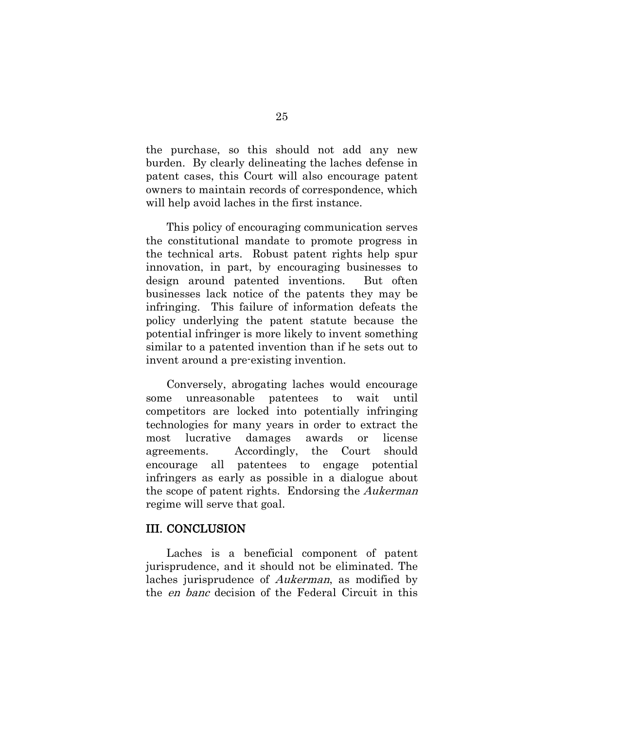the purchase, so this should not add any new burden. By clearly delineating the laches defense in patent cases, this Court will also encourage patent owners to maintain records of correspondence, which will help avoid laches in the first instance.

This policy of encouraging communication serves the constitutional mandate to promote progress in the technical arts. Robust patent rights help spur innovation, in part, by encouraging businesses to design around patented inventions. But often businesses lack notice of the patents they may be infringing. This failure of information defeats the policy underlying the patent statute because the potential infringer is more likely to invent something similar to a patented invention than if he sets out to invent around a pre-existing invention.

Conversely, abrogating laches would encourage some unreasonable patentees to wait until competitors are locked into potentially infringing technologies for many years in order to extract the most lucrative damages awards or license agreements. Accordingly, the Court should encourage all patentees to engage potential infringers as early as possible in a dialogue about the scope of patent rights. Endorsing the Aukerman regime will serve that goal.

#### <span id="page-30-0"></span>III. CONCLUSION

Laches is a beneficial component of patent jurisprudence, and it should not be eliminated. The laches jurisprudence of Aukerman, as modified by the en banc decision of the Federal Circuit in this